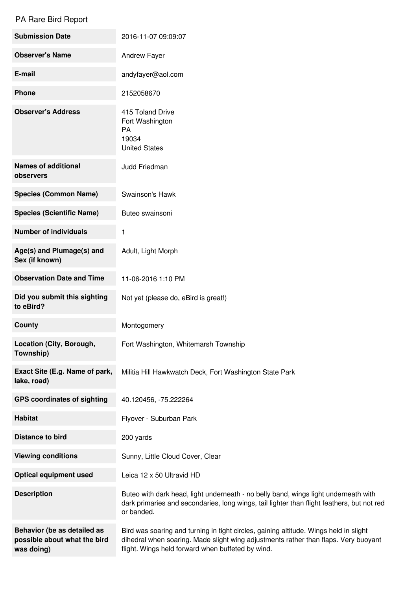## PA Rare Bird Report

| <b>Submission Date</b>                                                    | 2016-11-07 09:09:07                                                                                                                                                                                                               |
|---------------------------------------------------------------------------|-----------------------------------------------------------------------------------------------------------------------------------------------------------------------------------------------------------------------------------|
| <b>Observer's Name</b>                                                    | Andrew Fayer                                                                                                                                                                                                                      |
| E-mail                                                                    | andyfayer@aol.com                                                                                                                                                                                                                 |
| <b>Phone</b>                                                              | 2152058670                                                                                                                                                                                                                        |
| <b>Observer's Address</b>                                                 | 415 Toland Drive<br>Fort Washington<br>PA<br>19034<br><b>United States</b>                                                                                                                                                        |
| <b>Names of additional</b><br>observers                                   | Judd Friedman                                                                                                                                                                                                                     |
| <b>Species (Common Name)</b>                                              | Swainson's Hawk                                                                                                                                                                                                                   |
| <b>Species (Scientific Name)</b>                                          | Buteo swainsoni                                                                                                                                                                                                                   |
| <b>Number of individuals</b>                                              | 1                                                                                                                                                                                                                                 |
| Age(s) and Plumage(s) and<br>Sex (if known)                               | Adult, Light Morph                                                                                                                                                                                                                |
| <b>Observation Date and Time</b>                                          | 11-06-2016 1:10 PM                                                                                                                                                                                                                |
| Did you submit this sighting<br>to eBird?                                 | Not yet (please do, eBird is great!)                                                                                                                                                                                              |
| <b>County</b>                                                             | Montogomery                                                                                                                                                                                                                       |
| Location (City, Borough,<br>Township)                                     | Fort Washington, Whitemarsh Township                                                                                                                                                                                              |
| Exact Site (E.g. Name of park,<br>lake, road)                             | Militia Hill Hawkwatch Deck, Fort Washington State Park                                                                                                                                                                           |
| <b>GPS coordinates of sighting</b>                                        | 40.120456, -75.222264                                                                                                                                                                                                             |
| <b>Habitat</b>                                                            | Flyover - Suburban Park                                                                                                                                                                                                           |
| <b>Distance to bird</b>                                                   | 200 yards                                                                                                                                                                                                                         |
| <b>Viewing conditions</b>                                                 | Sunny, Little Cloud Cover, Clear                                                                                                                                                                                                  |
| <b>Optical equipment used</b>                                             | Leica 12 x 50 Ultravid HD                                                                                                                                                                                                         |
| <b>Description</b>                                                        | Buteo with dark head, light underneath - no belly band, wings light underneath with<br>dark primaries and secondaries, long wings, tail lighter than flight feathers, but not red<br>or banded.                                   |
| Behavior (be as detailed as<br>possible about what the bird<br>was doing) | Bird was soaring and turning in tight circles, gaining altitude. Wings held in slight<br>dihedral when soaring. Made slight wing adjustments rather than flaps. Very buoyant<br>flight. Wings held forward when buffeted by wind. |